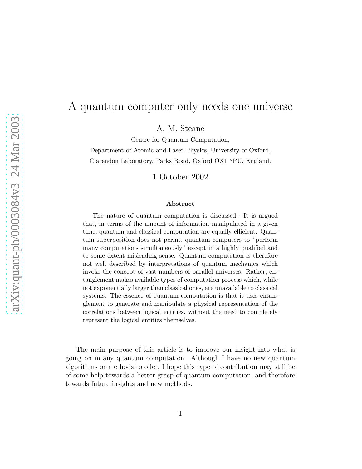# arXiv:quant-ph/0003084v3 24 Mar 2003 [arXiv:quant-ph/0003084v3 24 Mar 2003](http://arxiv.org/abs/quant-ph/0003084v3)

# A quantum computer only needs one universe

A. M. Steane

Centre for Quantum Computation,

Department of Atomic and Laser Physics, University of Oxford, Clarendon Laboratory, Parks Road, Oxford OX1 3PU, England.

1 October 2002

### Abstract

The nature of quantum computation is discussed. It is argued that, in terms of the amount of information manipulated in a given time, quantum and classical computation are equally efficient. Quantum superposition does not permit quantum computers to "perform many computations simultaneously" except in a highly qualified and to some extent misleading sense. Quantum computation is therefore not well described by interpretations of quantum mechanics which invoke the concept of vast numbers of parallel universes. Rather, entanglement makes available types of computation process which, while not exponentially larger than classical ones, are unavailable to classical systems. The essence of quantum computation is that it uses entanglement to generate and manipulate a physical representation of the correlations between logical entities, without the need to completely represent the logical entities themselves.

The main purpose of this article is to improve our insight into what is going on in any quantum computation. Although I have no new quantum algorithms or methods to offer, I hope this type of contribution may still be of some help towards a better grasp of quantum computation, and therefore towards future insights and new methods.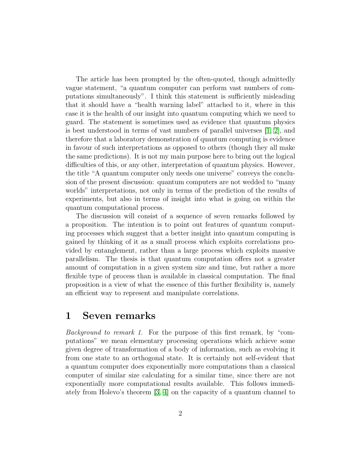The article has been prompted by the often-quoted, though admittedly vague statement, "a quantum computer can perform vast numbers of computations simultaneously". I think this statement is sufficiently misleading that it should have a "health warning label" attached to it, where in this case it is the health of our insight into quantum computing which we need to guard. The statement is sometimes used as evidence that quantum physics is best understood in terms of vast numbers of parallel universes [\[1,](#page-11-0) [2\]](#page-11-1), and therefore that a laboratory demonstration of quantum computing is evidence in favour of such interpretations as opposed to others (though they all make the same predictions). It is not my main purpose here to bring out the logical difficulties of this, or any other, interpretation of quantum physics. However, the title "A quantum computer only needs one universe" conveys the conclusion of the present discussion: quantum computers are not wedded to "many worlds" interpretations, not only in terms of the prediction of the results of experiments, but also in terms of insight into what is going on within the quantum computational process.

The discussion will consist of a sequence of seven remarks followed by a proposition. The intention is to point out features of quantum computing processes which suggest that a better insight into quantum computing is gained by thinking of it as a small process which exploits correlations provided by entanglement, rather than a large process which exploits massive parallelism. The thesis is that quantum computation offers not a greater amount of computation in a given system size and time, but rather a more flexible type of process than is available in classical computation. The final proposition is a view of what the essence of this further flexibility is, namely an efficient way to represent and manipulate correlations.

### 1 Seven remarks

Background to remark 1. For the purpose of this first remark, by "computations" we mean elementary processing operations which achieve some given degree of transformation of a body of information, such as evolving it from one state to an orthogonal state. It is certainly not self-evident that a quantum computer does exponentially more computations than a classical computer of similar size calculating for a similar time, since there are not exponentially more computational results available. This follows immediately from Holevo's theorem [\[3,](#page-11-2) [4\]](#page-11-3) on the capacity of a quantum channel to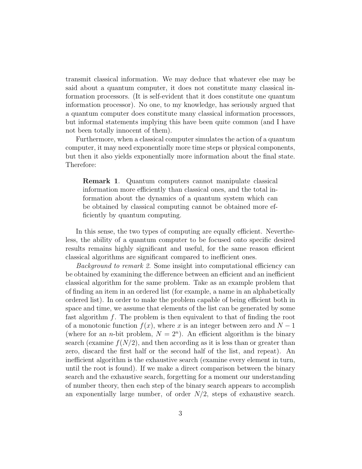transmit classical information. We may deduce that whatever else may be said about a quantum computer, it does not constitute many classical information processors. (It is self-evident that it does constitute one quantum information processor). No one, to my knowledge, has seriously argued that a quantum computer does constitute many classical information processors, but informal statements implying this have been quite common (and I have not been totally innocent of them).

Furthermore, when a classical computer simulates the action of a quantum computer, it may need exponentially more time steps or physical components, but then it also yields exponentially more information about the final state. Therefore:

Remark 1. Quantum computers cannot manipulate classical information more efficiently than classical ones, and the total information about the dynamics of a quantum system which can be obtained by classical computing cannot be obtained more efficiently by quantum computing.

In this sense, the two types of computing are equally efficient. Nevertheless, the ability of a quantum computer to be focused onto specific desired results remains highly significant and useful, for the same reason efficient classical algorithms are significant compared to inefficient ones.

Background to remark 2. Some insight into computational efficiency can be obtained by examining the difference between an efficient and an inefficient classical algorithm for the same problem. Take as an example problem that of finding an item in an ordered list (for example, a name in an alphabetically ordered list). In order to make the problem capable of being efficient both in space and time, we assume that elements of the list can be generated by some fast algorithm  $f$ . The problem is then equivalent to that of finding the root of a monotonic function  $f(x)$ , where x is an integer between zero and  $N-1$ (where for an *n*-bit problem,  $N = 2<sup>n</sup>$ ). An efficient algorithm is the binary search (examine  $f(N/2)$ , and then according as it is less than or greater than zero, discard the first half or the second half of the list, and repeat). An inefficient algorithm is the exhaustive search (examine every element in turn, until the root is found). If we make a direct comparison between the binary search and the exhaustive search, forgetting for a moment our understanding of number theory, then each step of the binary search appears to accomplish an exponentially large number, of order  $N/2$ , steps of exhaustive search.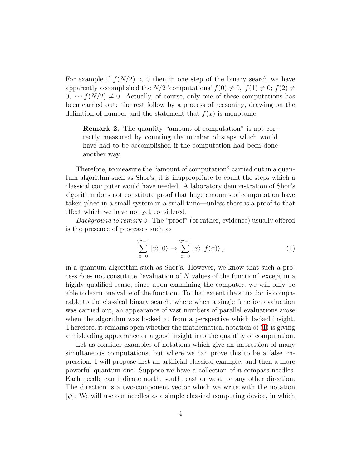For example if  $f(N/2) < 0$  then in one step of the binary search we have apparently accomplished the N/2 'computations'  $f(0) \neq 0$ ,  $f(1) \neq 0$ ;  $f(2) \neq 0$  $0, \dots f(N/2) \neq 0$ . Actually, of course, only one of these computations has been carried out: the rest follow by a process of reasoning, drawing on the definition of number and the statement that  $f(x)$  is monotonic.

Remark 2. The quantity "amount of computation" is not correctly measured by counting the number of steps which would have had to be accomplished if the computation had been done another way.

Therefore, to measure the "amount of computation" carried out in a quantum algorithm such as Shor's, it is inappropriate to count the steps which a classical computer would have needed. A laboratory demonstration of Shor's algorithm does not constitute proof that huge amounts of computation have taken place in a small system in a small time—unless there is a proof to that effect which we have not yet considered.

<span id="page-3-0"></span>Background to remark 3. The "proof" (or rather, evidence) usually offered is the presence of processes such as

$$
\sum_{x=0}^{2^{n}-1} |x\rangle |0\rangle \to \sum_{x=0}^{2^{n}-1} |x\rangle |f(x)\rangle , \qquad (1)
$$

in a quantum algorithm such as Shor's. However, we know that such a process does not constitute "evaluation of N values of the function" except in a highly qualified sense, since upon examining the computer, we will only be able to learn one value of the function. To that extent the situation is comparable to the classical binary search, where when a single function evaluation was carried out, an appearance of vast numbers of parallel evaluations arose when the algorithm was looked at from a perspective which lacked insight. Therefore, it remains open whether the mathematical notation of [\(1\)](#page-3-0) is giving a misleading appearance or a good insight into the quantity of computation.

Let us consider examples of notations which give an impression of many simultaneous computations, but where we can prove this to be a false impression. I will propose first an artificial classical example, and then a more powerful quantum one. Suppose we have a collection of  $n$  compass needles. Each needle can indicate north, south, east or west, or any other direction. The direction is a two-component vector which we write with the notation  $[\psi]$ . We will use our needles as a simple classical computing device, in which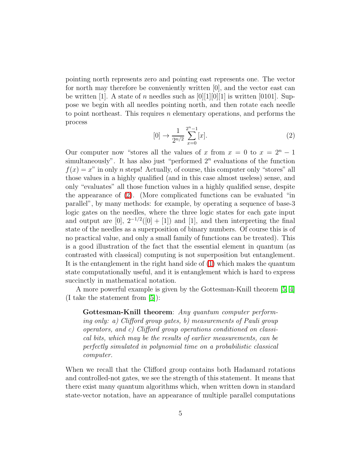pointing north represents zero and pointing east represents one. The vector for north may therefore be conveniently written [0], and the vector east can be written [1]. A state of n needles such as  $[0][1][0][1]$  is written [0101]. Suppose we begin with all needles pointing north, and then rotate each needle to point northeast. This requires  $n$  elementary operations, and performs the process

<span id="page-4-0"></span>
$$
[0] \to \frac{1}{2^{n/2}} \sum_{x=0}^{2^n - 1} [x]. \tag{2}
$$

Our computer now "stores all the values of x from  $x = 0$  to  $x = 2<sup>n</sup> - 1$ simultaneously". It has also just "performed  $2<sup>n</sup>$  evaluations of the function  $f(x) = x$ " in only *n* steps! Actually, of course, this computer only "stores" all those values in a highly qualified (and in this case almost useless) sense, and only "evaluates" all those function values in a highly qualified sense, despite the appearance of [\(2\)](#page-4-0). (More complicated functions can be evaluated "in parallel", by many methods: for example, by operating a sequence of base-3 logic gates on the needles, where the three logic states for each gate input and output are [0],  $2^{-1/2}([0] + [1])$  and [1], and then interpreting the final state of the needles as a superposition of binary numbers. Of course this is of no practical value, and only a small family of functions can be treated). This is a good illustration of the fact that the essential element in quantum (as contrasted with classical) computing is not superposition but entanglement. It is the entanglement in the right hand side of [\(1\)](#page-3-0) which makes the quantum state computationally useful, and it is entanglement which is hard to express succinctly in mathematical notation.

A more powerful example is given by the Gottesman-Knill theorem [\[5,](#page-11-4) [4\]](#page-11-3) (I take the statement from [\[5\]](#page-11-4)):

Gottesman-Knill theorem: Any quantum computer performing only: a) Clifford group gates, b) measurements of Pauli group operators, and c) Clifford group operations conditioned on classical bits, which may be the results of earlier measurements, can be perfectly simulated in polynomial time on a probabilistic classical computer.

When we recall that the Clifford group contains both Hadamard rotations and controlled-not gates, we see the strength of this statement. It means that there exist many quantum algorithms which, when written down in standard state-vector notation, have an appearance of multiple parallel computations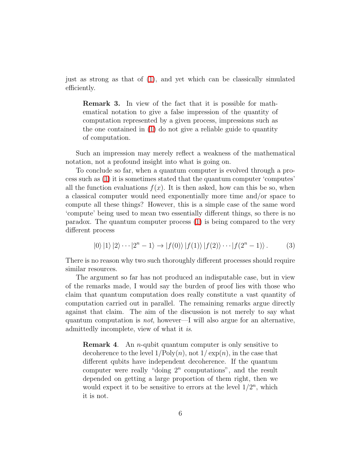just as strong as that of [\(1\)](#page-3-0), and yet which can be classically simulated efficiently.

Remark 3. In view of the fact that it is possible for mathematical notation to give a false impression of the quantity of computation represented by a given process, impressions such as the one contained in [\(1\)](#page-3-0) do not give a reliable guide to quantity of computation.

Such an impression may merely reflect a weakness of the mathematical notation, not a profound insight into what is going on.

To conclude so far, when a quantum computer is evolved through a process such as [\(1\)](#page-3-0) it is sometimes stated that the quantum computer 'computes' all the function evaluations  $f(x)$ . It is then asked, how can this be so, when a classical computer would need exponentially more time and/or space to compute all these things? However, this is a simple case of the same word 'compute' being used to mean two essentially different things, so there is no paradox. The quantum computer process [\(1\)](#page-3-0) is being compared to the very different process

$$
|0\rangle |1\rangle |2\rangle \cdots |2^n - 1\rangle \rightarrow |f(0)\rangle |f(1)\rangle |f(2)\rangle \cdots |f(2^n - 1)\rangle. \tag{3}
$$

<span id="page-5-0"></span>There is no reason why two such thoroughly different processes should require similar resources.

The argument so far has not produced an indisputable case, but in view of the remarks made, I would say the burden of proof lies with those who claim that quantum computation does really constitute a vast quantity of computation carried out in parallel. The remaining remarks argue directly against that claim. The aim of the discussion is not merely to say what quantum computation is not, however—I will also argue for an alternative, admittedly incomplete, view of what it is.

**Remark 4.** An *n*-qubit quantum computer is only sensitive to decoherence to the level  $1/Poly(n)$ , not  $1/\exp(n)$ , in the case that different qubits have independent decoherence. If the quantum computer were really "doing  $2^n$  computations", and the result depended on getting a large proportion of them right, then we would expect it to be sensitive to errors at the level  $1/2^n$ , which it is not.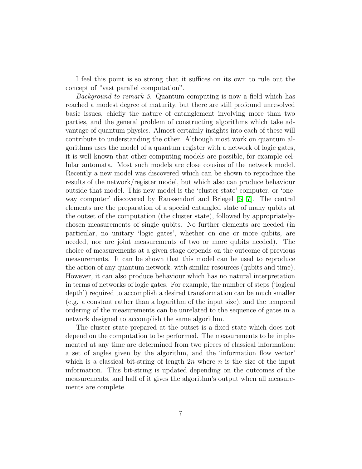I feel this point is so strong that it suffices on its own to rule out the concept of "vast parallel computation".

Background to remark 5. Quantum computing is now a field which has reached a modest degree of maturity, but there are still profound unresolved basic issues, chiefly the nature of entanglement involving more than two parties, and the general problem of constructing algorithms which take advantage of quantum physics. Almost certainly insights into each of these will contribute to understanding the other. Although most work on quantum algorithms uses the model of a quantum register with a network of logic gates, it is well known that other computing models are possible, for example cellular automata. Most such models are close cousins of the network model. Recently a new model was discovered which can be shown to reproduce the results of the network/register model, but which also can produce behaviour outside that model. This new model is the 'cluster state' computer, or 'oneway computer' discovered by Raussendorf and Briegel [\[6,](#page-12-0) [7\]](#page-12-1). The central elements are the preparation of a special entangled state of many qubits at the outset of the computation (the cluster state), followed by appropriatelychosen measurements of single qubits. No further elements are needed (in particular, no unitary 'logic gates', whether on one or more qubits, are needed, nor are joint measurements of two or more qubits needed). The choice of measurements at a given stage depends on the outcome of previous measurements. It can be shown that this model can be used to reproduce the action of any quantum network, with similar resources (qubits and time). However, it can also produce behaviour which has no natural interpretation in terms of networks of logic gates. For example, the number of steps ('logical depth') required to accomplish a desired transformation can be much smaller (e.g. a constant rather than a logarithm of the input size), and the temporal ordering of the measurements can be unrelated to the sequence of gates in a network designed to accomplish the same algorithm.

The cluster state prepared at the outset is a fixed state which does not depend on the computation to be performed. The measurements to be implemented at any time are determined from two pieces of classical information: a set of angles given by the algorithm, and the 'information flow vector' which is a classical bit-string of length  $2n$  where n is the size of the input information. This bit-string is updated depending on the outcomes of the measurements, and half of it gives the algorithm's output when all measurements are complete.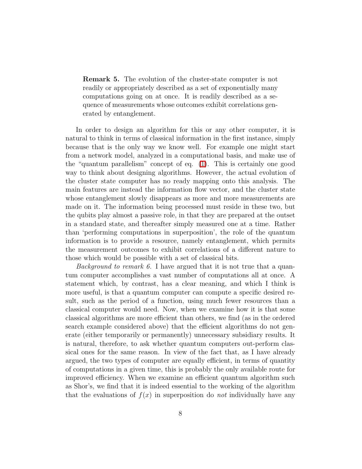Remark 5. The evolution of the cluster-state computer is not readily or appropriately described as a set of exponentially many computations going on at once. It is readily described as a sequence of measurements whose outcomes exhibit correlations generated by entanglement.

In order to design an algorithm for this or any other computer, it is natural to think in terms of classical information in the first instance, simply because that is the only way we know well. For example one might start from a network model, analyzed in a computational basis, and make use of the "quantum parallelism" concept of eq. [\(1\)](#page-3-0). This is certainly one good way to think about designing algorithms. However, the actual evolution of the cluster state computer has no ready mapping onto this analysis. The main features are instead the information flow vector, and the cluster state whose entanglement slowly disappears as more and more measurements are made on it. The information being processed must reside in these two, but the qubits play almost a passive role, in that they are prepared at the outset in a standard state, and thereafter simply measured one at a time. Rather than 'performing computations in superposition', the role of the quantum information is to provide a resource, namely entanglement, which permits the measurement outcomes to exhibit correlations of a different nature to those which would be possible with a set of classical bits.

Background to remark 6. I have argued that it is not true that a quantum computer accomplishes a vast number of computations all at once. A statement which, by contrast, has a clear meaning, and which I think is more useful, is that a quantum computer can compute a specific desired result, such as the period of a function, using much fewer resources than a classical computer would need. Now, when we examine how it is that some classical algorithms are more efficient than others, we find (as in the ordered search example considered above) that the efficient algorithms do not generate (either temporarily or permanently) unnecessary subsidiary results. It is natural, therefore, to ask whether quantum computers out-perform classical ones for the same reason. In view of the fact that, as I have already argued, the two types of computer are equally efficient, in terms of quantity of computations in a given time, this is probably the only available route for improved efficiency. When we examine an efficient quantum algorithm such as Shor's, we find that it is indeed essential to the working of the algorithm that the evaluations of  $f(x)$  in superposition do not individually have any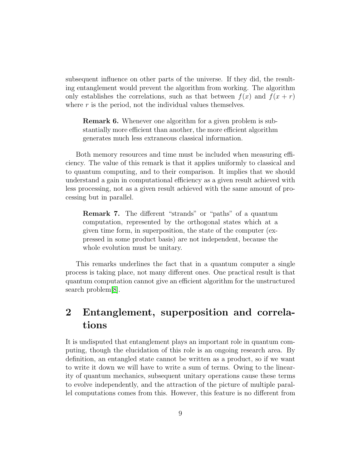subsequent influence on other parts of the universe. If they did, the resulting entanglement would prevent the algorithm from working. The algorithm only establishes the correlations, such as that between  $f(x)$  and  $f(x + r)$ where  $r$  is the period, not the individual values themselves.

Remark 6. Whenever one algorithm for a given problem is substantially more efficient than another, the more efficient algorithm generates much less extraneous classical information.

Both memory resources and time must be included when measuring efficiency. The value of this remark is that it applies uniformly to classical and to quantum computing, and to their comparison. It implies that we should understand a gain in computational efficiency as a given result achieved with less processing, not as a given result achieved with the same amount of processing but in parallel.

Remark 7. The different "strands" or "paths" of a quantum computation, represented by the orthogonal states which at a given time form, in superposition, the state of the computer (expressed in some product basis) are not independent, because the whole evolution must be unitary.

This remarks underlines the fact that in a quantum computer a single process is taking place, not many different ones. One practical result is that quantum computation cannot give an efficient algorithm for the unstructured search problem[\[8\]](#page-12-2).

# 2 Entanglement, superposition and correlations

It is undisputed that entanglement plays an important role in quantum computing, though the elucidation of this role is an ongoing research area. By definition, an entangled state cannot be written as a product, so if we want to write it down we will have to write a sum of terms. Owing to the linearity of quantum mechanics, subsequent unitary operations cause these terms to evolve independently, and the attraction of the picture of multiple parallel computations comes from this. However, this feature is no different from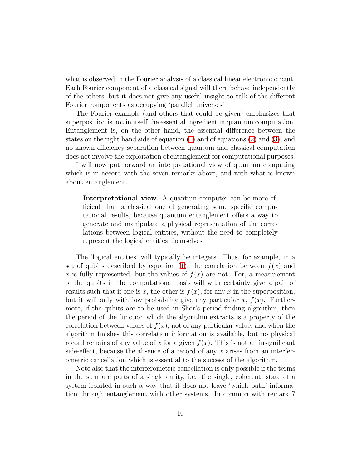what is observed in the Fourier analysis of a classical linear electronic circuit. Each Fourier component of a classical signal will there behave independently of the others, but it does not give any useful insight to talk of the different Fourier components as occupying 'parallel universes'.

The Fourier example (and others that could be given) emphasizes that superposition is not in itself the essential ingredient in quantum computation. Entanglement is, on the other hand, the essential difference between the states on the right hand side of equation [\(1\)](#page-3-0) and of equations [\(2\)](#page-4-0) and [\(3\)](#page-5-0), and no known efficiency separation between quantum and classical computation does not involve the exploitation of entanglement for computational purposes.

I will now put forward an interpretational view of quantum computing which is in accord with the seven remarks above, and with what is known about entanglement.

Interpretational view. A quantum computer can be more efficient than a classical one at generating some specific computational results, because quantum entanglement offers a way to generate and manipulate a physical representation of the correlations between logical entities, without the need to completely represent the logical entities themselves.

The 'logical entities' will typically be integers. Thus, for example, in a set of qubits described by equation [\(1\)](#page-3-0), the correlation between  $f(x)$  and x is fully represented, but the values of  $f(x)$  are not. For, a measurement of the qubits in the computational basis will with certainty give a pair of results such that if one is x, the other is  $f(x)$ , for any x in the superposition, but it will only with low probability give any particular x,  $f(x)$ . Furthermore, if the qubits are to be used in Shor's period-finding algorithm, then the period of the function which the algorithm extracts is a property of the correlation between values of  $f(x)$ , not of any particular value, and when the algorithm finishes this correlation information is available, but no physical record remains of any value of x for a given  $f(x)$ . This is not an insignificant side-effect, because the absence of a record of any  $x$  arises from an interferometric cancellation which is essential to the success of the algorithm.

Note also that the interferometric cancellation is only possible if the terms in the sum are parts of a single entity, i.e. the single, coherent, state of a system isolated in such a way that it does not leave 'which path' information through entanglement with other systems. In common with remark 7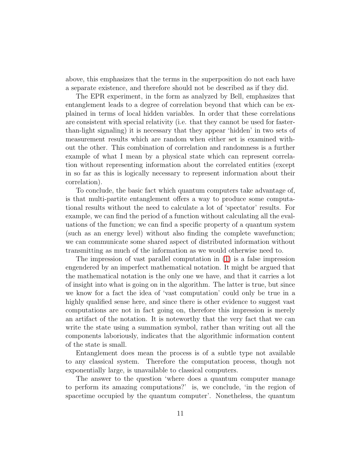above, this emphasizes that the terms in the superposition do not each have a separate existence, and therefore should not be described as if they did.

The EPR experiment, in the form as analyzed by Bell, emphasizes that entanglement leads to a degree of correlation beyond that which can be explained in terms of local hidden variables. In order that these correlations are consistent with special relativity (i.e. that they cannot be used for fasterthan-light signaling) it is necessary that they appear 'hidden' in two sets of measurement results which are random when either set is examined without the other. This combination of correlation and randomness is a further example of what I mean by a physical state which can represent correlation without representing information about the correlated entities (except in so far as this is logically necessary to represent information about their correlation).

To conclude, the basic fact which quantum computers take advantage of, is that multi-partite entanglement offers a way to produce some computational results without the need to calculate a lot of 'spectator' results. For example, we can find the period of a function without calculating all the evaluations of the function; we can find a specific property of a quantum system (such as an energy level) without also finding the complete wavefunction; we can communicate some shared aspect of distributed information without transmitting as much of the information as we would otherwise need to.

The impression of vast parallel computation in [\(1\)](#page-3-0) is a false impression engendered by an imperfect mathematical notation. It might be argued that the mathematical notation is the only one we have, and that it carries a lot of insight into what is going on in the algorithm. The latter is true, but since we know for a fact the idea of 'vast computation' could only be true in a highly qualified sense here, and since there is other evidence to suggest vast computations are not in fact going on, therefore this impression is merely an artifact of the notation. It is noteworthy that the very fact that we can write the state using a summation symbol, rather than writing out all the components laboriously, indicates that the algorithmic information content of the state is small.

Entanglement does mean the process is of a subtle type not available to any classical system. Therefore the computation process, though not exponentially large, is unavailable to classical computers.

The answer to the question 'where does a quantum computer manage to perform its amazing computations?' is, we conclude, 'in the region of spacetime occupied by the quantum computer'. Nonetheless, the quantum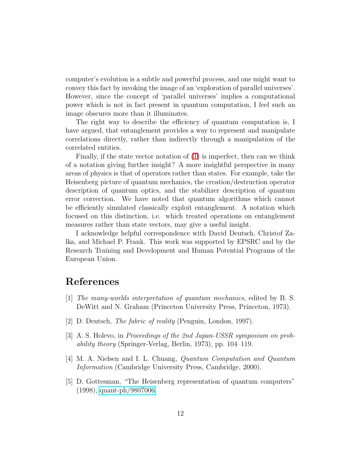computer's evolution is a subtle and powerful process, and one might want to convey this fact by invoking the image of an 'exploration of parallel universes'. However, since the concept of 'parallel universes' implies a computational power which is not in fact present in quantum computation, I feel such an image obscures more than it illuminates.

The right way to describe the efficiency of quantum computation is, I have argued, that entanglement provides a way to represent and manipulate correlations directly, rather than indirectly through a manipulation of the correlated entities.

Finally, if the state vector notation of [\(1\)](#page-3-0) is imperfect, then can we think of a notation giving further insight? A more insightful perspective in many areas of physics is that of operators rather than states. For example, take the Heisenberg picture of quantum mechanics, the creation/destruction operator description of quantum optics, and the stabilizer description of quantum error correction. We have noted that quantum algorithms which cannot be efficiently simulated classically exploit entanglement. A notation which focused on this distinction, i.e. which treated operations on entanglement measures rather than state vectors, may give a useful insight.

I acknowledge helpful correspondence with David Deutsch, Christof Zalka, and Michael P. Frank. This work was supported by EPSRC and by the Research Training and Development and Human Potential Programs of the European Union.

## <span id="page-11-0"></span>References

- [1] The many-worlds interpretation of quantum mechanics, edited by B. S. DeWitt and N. Graham (Princeton University Press, Princeton, 1973).
- <span id="page-11-2"></span><span id="page-11-1"></span>[2] D. Deutsch, *The fabric of reality* (Penguin, London, 1997).
- <span id="page-11-3"></span>[3] A. S. Holevo, in *Proceedings of the 2nd Japan-USSR symposium on prob*ability theory (Springer-Verlag, Berlin, 1973), pp. 104–119.
- [4] M. A. Nielsen and I. L. Chuang, Quantum Computation and Quantum Information (Cambridge University Press, Cambridge, 2000).
- <span id="page-11-4"></span>[5] D. Gottesman, "The Heisenberg representation of quantum computers" (1998), [quant-ph/9807006.](http://arxiv.org/abs/quant-ph/9807006)